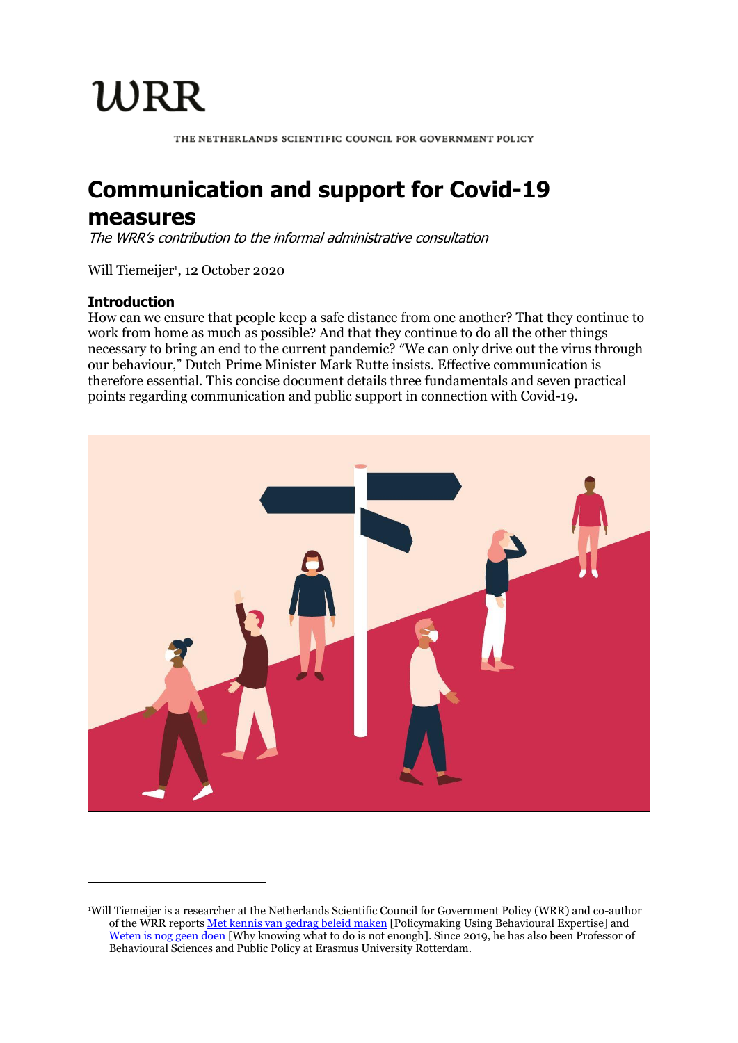WRR

THE NETHERLANDS SCIENTIFIC COUNCIL FOR GOVERNMENT POLICY

# **Communication and support for Covid-19**

## **measures**

The WRR's contribution to the informal administrative consultation

Will Tiemeijer<sup>1</sup>, 12 October 2020

#### **Introduction**

 $\overline{\phantom{a}}$ 

How can we ensure that people keep a safe distance from one another? That they continue to work from home as much as possible? And that they continue to do all the other things necessary to bring an end to the current pandemic? "We can only drive out the virus through our behaviour," Dutch Prime Minister Mark Rutte insists. Effective communication is therefore essential. This concise document details three fundamentals and seven practical points regarding communication and public support in connection with Covid-19.



<sup>1</sup>Will Tiemeijer is a researcher at the Netherlands Scientific Council for Government Policy (WRR) and co-author of the WRR report[s Met kennis van gedrag beleid maken \[](https://english.wrr.nl/latest/news/2014/09/10/policymaking-using-behavioural-expertise)Policymaking Using Behavioural Expertise] and [Weten is nog geen doen](https://english.wrr.nl/publications/reports/2019/10/14/why-knowing-what-to-do-is-not-enough) [Why knowing what to do is not enough]. Since 2019, he has also been Professor of Behavioural Sciences and Public Policy at Erasmus University Rotterdam.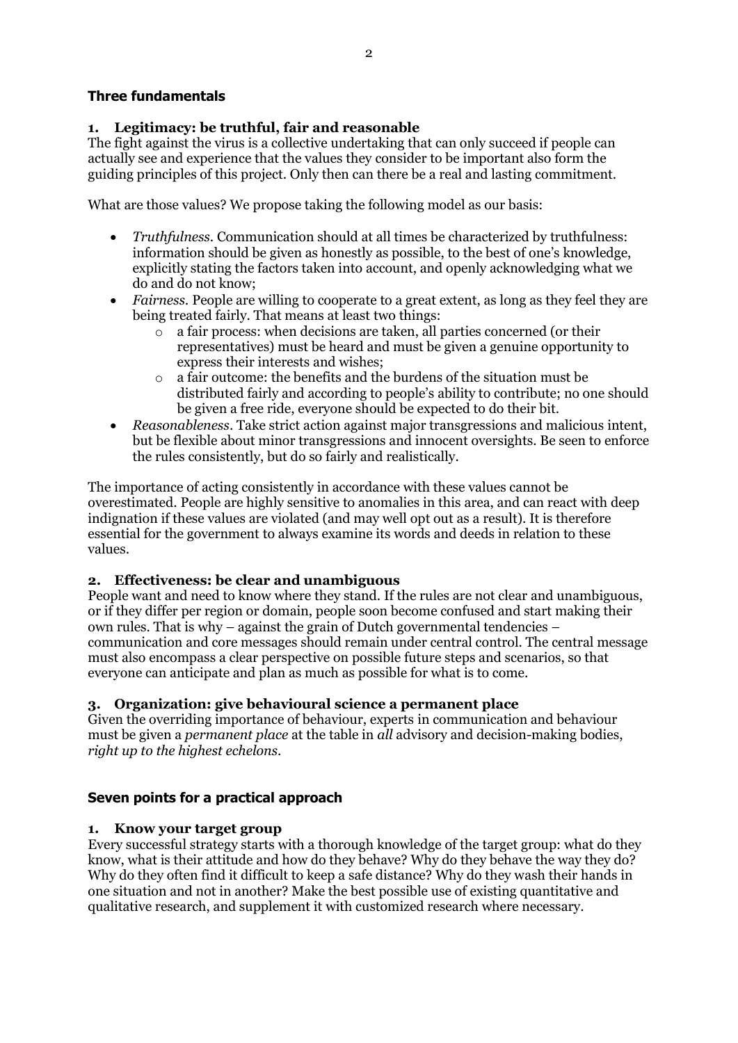### **Three fundamentals**

#### **1. Legitimacy: be truthful, fair and reasonable**

The fight against the virus is a collective undertaking that can only succeed if people can actually see and experience that the values they consider to be important also form the guiding principles of this project. Only then can there be a real and lasting commitment.

What are those values? We propose taking the following model as our basis:

- *Truthfulness*. Communication should at all times be characterized by truthfulness: information should be given as honestly as possible, to the best of one's knowledge, explicitly stating the factors taken into account, and openly acknowledging what we do and do not know;
- *Fairness.* People are willing to cooperate to a great extent, as long as they feel they are being treated fairly. That means at least two things:
	- o a fair process: when decisions are taken, all parties concerned (or their representatives) must be heard and must be given a genuine opportunity to express their interests and wishes;
	- o a fair outcome: the benefits and the burdens of the situation must be distributed fairly and according to people's ability to contribute; no one should be given a free ride, everyone should be expected to do their bit.
- *Reasonableness*. Take strict action against major transgressions and malicious intent, but be flexible about minor transgressions and innocent oversights. Be seen to enforce the rules consistently, but do so fairly and realistically.

The importance of acting consistently in accordance with these values cannot be overestimated. People are highly sensitive to anomalies in this area, and can react with deep indignation if these values are violated (and may well opt out as a result). It is therefore essential for the government to always examine its words and deeds in relation to these values.

### **2. Effectiveness: be clear and unambiguous**

People want and need to know where they stand. If the rules are not clear and unambiguous, or if they differ per region or domain, people soon become confused and start making their own rules. That is why – against the grain of Dutch governmental tendencies – communication and core messages should remain under central control. The central message must also encompass a clear perspective on possible future steps and scenarios, so that everyone can anticipate and plan as much as possible for what is to come.

### **3. Organization: give behavioural science a permanent place**

Given the overriding importance of behaviour, experts in communication and behaviour must be given a *permanent place* at the table in *all* advisory and decision-making bodies, *right up to the highest echelons*.

### **Seven points for a practical approach**

#### **1. Know your target group**

Every successful strategy starts with a thorough knowledge of the target group: what do they know, what is their attitude and how do they behave? Why do they behave the way they do? Why do they often find it difficult to keep a safe distance? Why do they wash their hands in one situation and not in another? Make the best possible use of existing quantitative and qualitative research, and supplement it with customized research where necessary.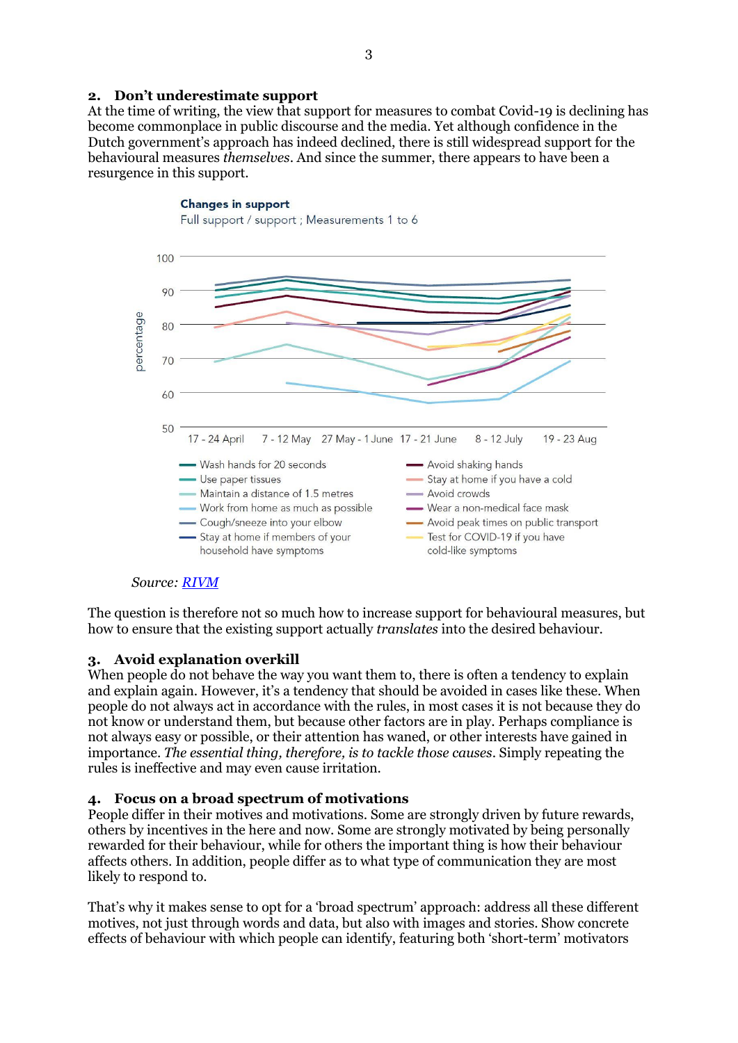#### **2. Don't underestimate support**

At the time of writing, the view that support for measures to combat Covid-19 is declining has become commonplace in public discourse and the media. Yet although confidence in the Dutch government's approach has indeed declined, there is still widespread support for the behavioural measures *themselves*. And since the summer, there appears to have been a resurgence in this support.

#### **Changes in support** Full support / support ; Measurements 1 to 6 100 90 bercentage  $80$ 70 60 50 17 - 24 April 7 - 12 May 27 May - 1 June 17 - 21 June 8 - 12 July 19 - 23 Aug - Wash hands for 20 seconds Avoid shaking hands - Use paper tissues - Stay at home if you have a cold - Maintain a distance of 1.5 metres - Avoid crowds - Work from home as much as possible - Wear a non-medical face mask - Cough/sneeze into your elbow - Avoid peak times on public transport Test for COVID-19 if you have - Stay at home if members of your household have symptoms cold-like symptoms

#### *Source: [RIVM](https://www.rivm.nl/gedragsonderzoek/maatregelen-welbevinden/draagvlak)*

The question is therefore not so much how to increase support for behavioural measures, but how to ensure that the existing support actually *translates* into the desired behaviour.

### **3. Avoid explanation overkill**

When people  $\bar{d}$  not behave the way you want them to, there is often a tendency to explain and explain again. However, it's a tendency that should be avoided in cases like these. When people do not always act in accordance with the rules, in most cases it is not because they do not know or understand them, but because other factors are in play. Perhaps compliance is not always easy or possible, or their attention has waned, or other interests have gained in importance. *The essential thing, therefore, is to tackle those causes*. Simply repeating the rules is ineffective and may even cause irritation.

#### **4. Focus on a broad spectrum of motivations**

People differ in their motives and motivations. Some are strongly driven by future rewards, others by incentives in the here and now. Some are strongly motivated by being personally rewarded for their behaviour, while for others the important thing is how their behaviour affects others. In addition, people differ as to what type of communication they are most likely to respond to.

That's why it makes sense to opt for a 'broad spectrum' approach: address all these different motives, not just through words and data, but also with images and stories. Show concrete effects of behaviour with which people can identify, featuring both 'short-term' motivators